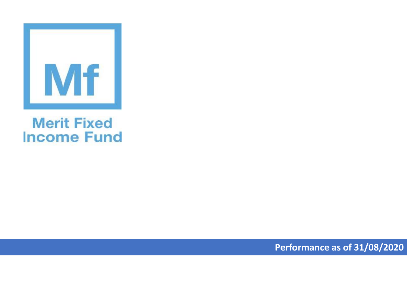

## **Merit Fixed Income Fund**

**Performance as of 31/08/2020**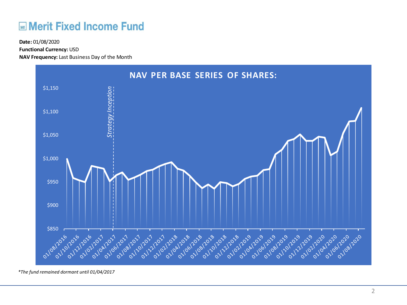## **Merit Fixed Income Fund**

**Functional Currency:** USD

**NAV Frequency:** Last Business Day of the Month